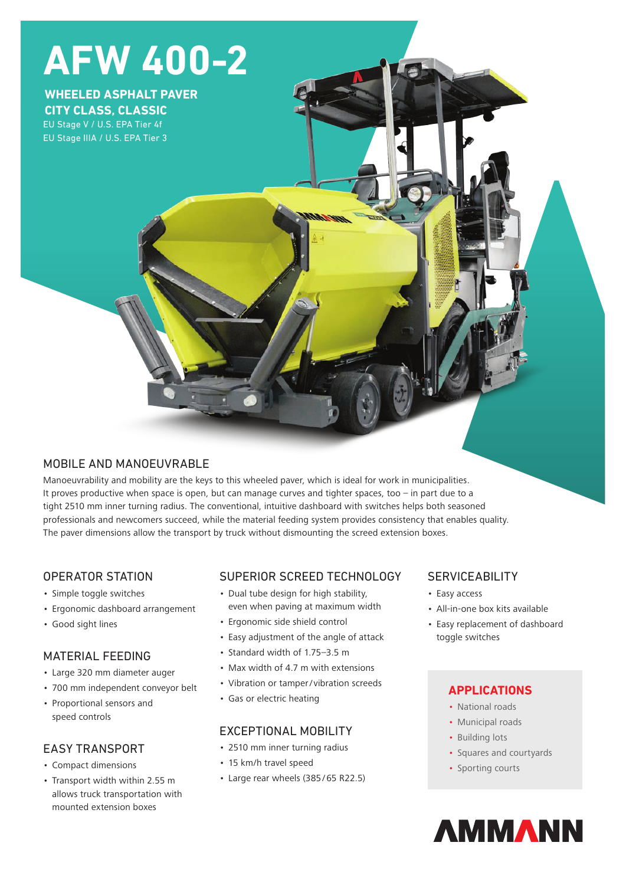# **AFW 400-2**

**WHEELED ASPHALT PAVER CITY CLASS, CLASSIC** EU Stage V / U.S. EPA Tier 4f EU Stage IIIA / U.S. EPA Tier 3

# MOBILE AND MANOEUVRABLE

Manoeuvrability and mobility are the keys to this wheeled paver, which is ideal for work in municipalities. It proves productive when space is open, but can manage curves and tighter spaces, too – in part due to a tight 2510 mm inner turning radius. The conventional, intuitive dashboard with switches helps both seasoned professionals and newcomers succeed, while the material feeding system provides consistency that enables quality. The paver dimensions allow the transport by truck without dismounting the screed extension boxes.

## OPERATOR STATION

- Simple toggle switches
- Ergonomic dashboard arrangement
- Good sight lines

## MATERIAL FEEDING

- Large 320 mm diameter auger
- 700 mm independent conveyor belt
- Proportional sensors and speed controls

# EASY TRANSPORT

- Compact dimensions
- Transport width within 2.55 m allows truck transportation with mounted extension boxes

# SUPERIOR SCREED TECHNOLOGY

- Dual tube design for high stability, even when paving at maximum width
- Ergonomic side shield control
- Easy adjustment of the angle of attack
- Standard width of 1.75–3.5 m
- Max width of 4.7 m with extensions
- Vibration or tamper/ vibration screeds
- Gas or electric heating

## EXCEPTIONAL MOBILITY

- 2510 mm inner turning radius
- 15 km/h travel speed
- Large rear wheels (385/65 R22.5)

# **SERVICEABILITY**

- Easy access
- All-in-one box kits available
- Easy replacement of dashboard toggle switches

## **APPLICATIONS**

- National roads
- Municipal roads
- Building lots
- Squares and courtyards
- Sporting courts